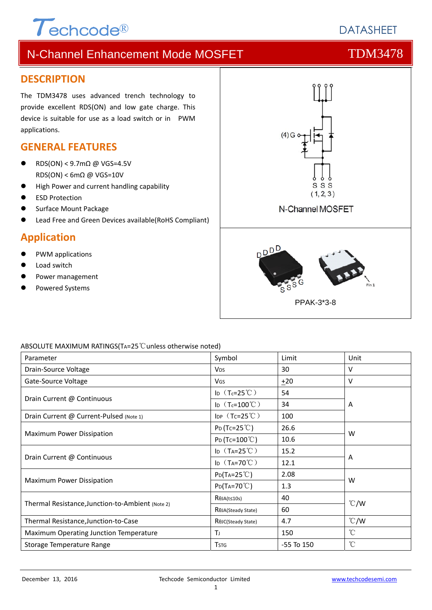# $\tau$ echcode®

## **DATASHEFT**

## N-Channel Enhancement Mode MOSFET THE TDM3478

#### **DESCRIPTION**

The TDM3478 uses advanced trench technology to provide excellent RDS(ON) and low gate charge. This device is suitable for use as a load switch or in PWM applications.

#### **GENERAL FEATURES**

- RDS(ON) < 9.7mΩ @ VGS=4.5V  $RDS(ON)$  < 6m $\Omega$  @ VGS=10V
- High Power and current handling capability
- ESD Protection
- Surface Mount Package
- Lead Free and Green Devices available(RoHS Compliant)

### **Application**

- PWM applications
- Load switch
- Power management
- Powered Systems



#### ABSOLUTE MAXIMUM RATINGS(TA=25℃unless otherwise noted)

| Parameter                                        | Symbol                          | Limit          | Unit          |  |
|--------------------------------------------------|---------------------------------|----------------|---------------|--|
| Drain-Source Voltage                             | <b>V<sub>DS</sub></b>           | 30             | v             |  |
| Gate-Source Voltage                              | VGS                             | ±20            | v             |  |
|                                                  | ID $(T_c=25^{\circ}C)$          | 54             |               |  |
| Drain Current @ Continuous                       | ID $(T_c=100^{\circ}C)$         | 34             | A             |  |
| Drain Current @ Current-Pulsed (Note 1)          | IDP $(Tc=25^{\circ}C)$          | 100            |               |  |
|                                                  | $P_D(Tc=25^{\circ}C)$           | 26.6           | W             |  |
| Maximum Power Dissipation                        | $P_D(Tc=100^{\circ}C)$          | 10.6           |               |  |
|                                                  | ID $(T_A=25^{\circ}C)$          | 15.2           |               |  |
| Drain Current @ Continuous                       | ID $(T_A=70^{\circ}C)$          | 12.1           | A             |  |
|                                                  | $P_{D}(T_{A}=25^{\circ}C)$      | 2.08           | W             |  |
| Maximum Power Dissipation                        | $P_{D}(Ta=70^{\circ}C)$         | 1.3            |               |  |
| Thermal Resistance, Junction-to-Ambient (Note 2) | $R\theta$ JA(t≤10s)             | 40             |               |  |
|                                                  | R <sub>OJ</sub> A(Steady State) | 60             | $\degree$ C/W |  |
| Thermal Resistance, Junction-to-Case             | ROJC(Steady State)              | 4.7            | $\degree$ C/W |  |
| Maximum Operating Junction Temperature           | Τı                              | 150            | $^{\circ}$ C  |  |
| Storage Temperature Range                        | <b>T</b> <sub>STG</sub>         | $-55$ To $150$ | $^{\circ}$ C  |  |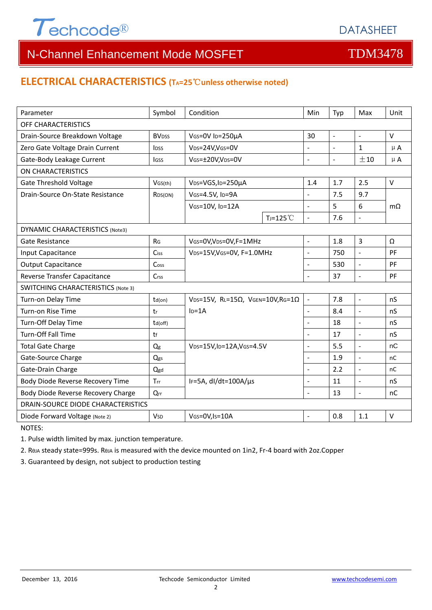

#### **ELECTRICAL CHARACTERISTICS (TA=25**℃**unless otherwise noted)**

| Parameter                                 | Symbol                  | Condition                                                    |                | Min            | Typ            | Max                 | Unit      |  |  |
|-------------------------------------------|-------------------------|--------------------------------------------------------------|----------------|----------------|----------------|---------------------|-----------|--|--|
| OFF CHARACTERISTICS                       |                         |                                                              |                |                |                |                     |           |  |  |
| Drain-Source Breakdown Voltage            | <b>BV<sub>DSS</sub></b> | VGS=0V ID=250µA                                              |                | 30             | $\mathbb{L}$   | $\omega$            | V         |  |  |
| Zero Gate Voltage Drain Current           | <b>IDSS</b>             | V <sub>DS</sub> =24V,V <sub>GS</sub> =0V                     |                | $\overline{a}$ | $\blacksquare$ | $\mathbf{1}$        | $\mu$ A   |  |  |
| Gate-Body Leakage Current                 | <b>I</b> GSS            | VGS=±20V,VDS=0V                                              |                | $\overline{a}$ | $\blacksquare$ | ±10                 | $\mu$ A   |  |  |
| <b>ON CHARACTERISTICS</b>                 |                         |                                                              |                |                |                |                     |           |  |  |
| <b>Gate Threshold Voltage</b>             | VGS(th)                 | V <sub>DS</sub> =VGS, I <sub>D</sub> =250µA                  |                | 1.4            | 1.7            | 2.5                 | $\vee$    |  |  |
| Drain-Source On-State Resistance          | R <sub>DS</sub> (ON)    | VGS=4.5V, ID=9A                                              |                | $\overline{a}$ | 7.5            | 9.7                 |           |  |  |
|                                           |                         | VGS=10V, ID=12A                                              |                | $\overline{a}$ | 5              | 6                   | $m\Omega$ |  |  |
|                                           |                         |                                                              | $T_J = 125$ °C | $\overline{a}$ | 7.6            | $\Box$              |           |  |  |
| <b>DYNAMIC CHARACTERISTICS (Note3)</b>    |                         |                                                              |                |                |                |                     |           |  |  |
| Gate Resistance                           | R <sub>G</sub>          | VGS=0V, VDS=0V, F=1MHz                                       |                | $\overline{a}$ | 1.8            | 3                   | Ω         |  |  |
| Input Capacitance                         | Ciss                    | VDS=15V, VGS=0V, F=1.0MHz                                    |                | $\overline{a}$ | 750            | $\overline{a}$      | PF        |  |  |
| <b>Output Capacitance</b>                 | Cos <sub>S</sub>        |                                                              |                | $\overline{a}$ | 530            | $\bar{\phantom{a}}$ | PF        |  |  |
| Reverse Transfer Capacitance              | Crss                    |                                                              |                | L.             | 37             | $\overline{a}$      | PF        |  |  |
| <b>SWITCHING CHARACTERISTICS (Note 3)</b> |                         |                                                              |                |                |                |                     |           |  |  |
| Turn-on Delay Time                        | $td($ on $)$            | VDS=15V, RL=15 $\Omega$ , VGEN=10V, RG=1 $\Omega$<br>$ID=1A$ |                | $\Box$         | 7.8            | $\mathbb{Z}$        | nS        |  |  |
| Turn-on Rise Time                         | tr                      |                                                              |                | ÷,             | 8.4            | $\Box$              | nS        |  |  |
| Turn-Off Delay Time                       | $td($ off $)$           |                                                              |                |                | 18             | $\overline{a}$      | nS        |  |  |
| Turn-Off Fall Time                        | tf                      |                                                              |                | L.             | 17             | $\overline{a}$      | nS        |  |  |
| <b>Total Gate Charge</b>                  | Qg                      | VDS=15V,ID=12A,VGS=4.5V                                      |                | $\overline{a}$ | 5.5            | $\overline{a}$      | nC        |  |  |
| Gate-Source Charge                        | Qgs                     |                                                              |                |                | 1.9            | $\blacksquare$      | nC        |  |  |
| Gate-Drain Charge                         | Qgd                     |                                                              |                | $\overline{a}$ | 2.2            | $\overline{a}$      | nC        |  |  |
| Body Diode Reverse Recovery Time          | Trr                     | IF=5A, dl/dt=100A/µs                                         |                | $\overline{a}$ | 11             | $\overline{a}$      | nS        |  |  |
| Body Diode Reverse Recovery Charge        | Qrr                     |                                                              |                | $\overline{a}$ | 13             | $\Box$              | nC        |  |  |
| DRAIN-SOURCE DIODE CHARACTERISTICS        |                         |                                                              |                |                |                |                     |           |  |  |
| Diode Forward Voltage (Note 2)            | <b>V<sub>SD</sub></b>   | VGS=0V,Is=10A                                                |                |                | 0.8            | 1.1                 | $\vee$    |  |  |

NOTES:

1. Pulse width limited by max. junction temperature.

2. RθJA steady state=999s. RθJA is measured with the device mounted on 1in2, Fr‐4 board with 2oz.Copper

3. Guaranteed by design, not subject to production testing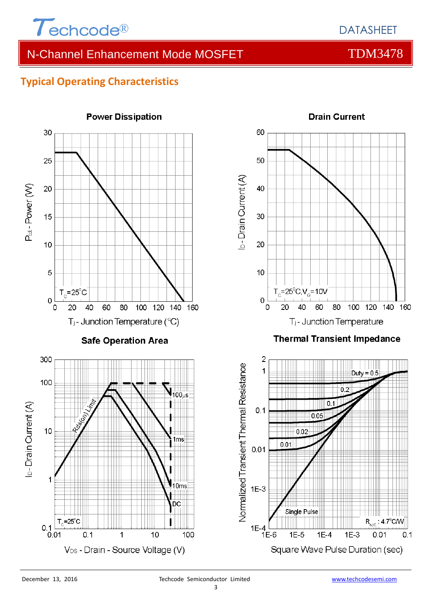

### **Typical Operating Characteristics**

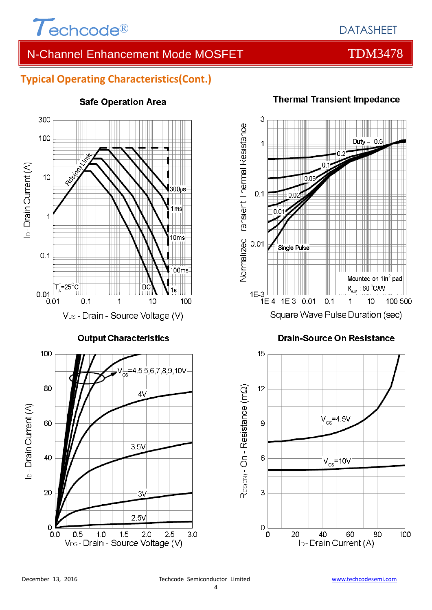

## **Typical Operating Characteristics(Cont.)**



#### **Safe Operation Area**

## **Thermal Transient Impedance**



#### **Drain-Source On Resistance**

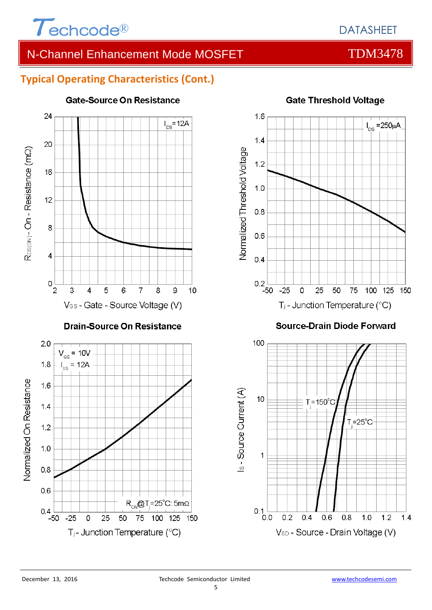

### **Typical Operating Characteristics (Cont.)**



#### **Gate-Source On Resistance**



#### **Gate Threshold Voltage**

**Source-Drain Diode Forward** 

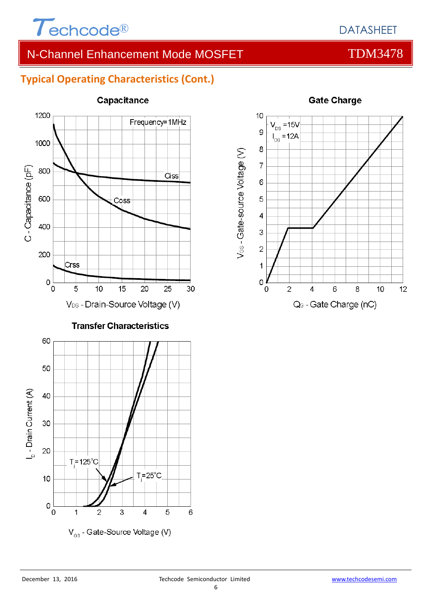

### **Typical Operating Characteristics (Cont.)**



#### Capacitance



#### **Gate Charge**

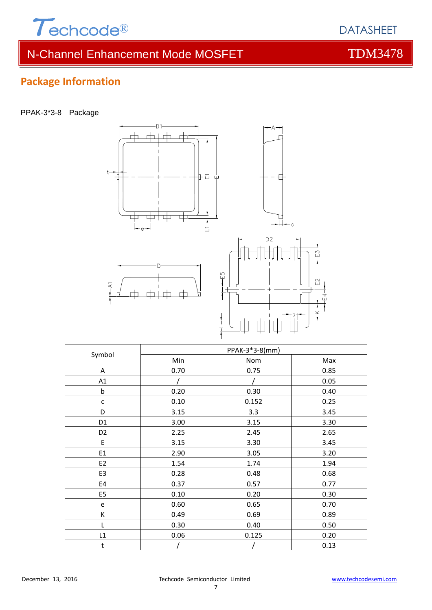

## **Package Information**

PPAK-3\*3-8 Package



| Symbol         | PPAK-3*3-8(mm) |       |      |  |  |
|----------------|----------------|-------|------|--|--|
|                | Min            | Nom   | Max  |  |  |
| Α              | 0.70           | 0.75  | 0.85 |  |  |
| A1             |                |       | 0.05 |  |  |
| $\mathsf b$    | 0.20           | 0.30  | 0.40 |  |  |
| $\mathsf{C}$   | 0.10           | 0.152 | 0.25 |  |  |
| D              | 3.15           | 3.3   | 3.45 |  |  |
| D <sub>1</sub> | 3.00           | 3.15  | 3.30 |  |  |
| D <sub>2</sub> | 2.25           | 2.45  | 2.65 |  |  |
| E              | 3.15           | 3.30  | 3.45 |  |  |
| E1             | 2.90           | 3.05  | 3.20 |  |  |
| E <sub>2</sub> | 1.54           | 1.74  | 1.94 |  |  |
| E3             | 0.28           | 0.48  | 0.68 |  |  |
| E4             | 0.37           | 0.57  | 0.77 |  |  |
| E <sub>5</sub> | 0.10           | 0.20  | 0.30 |  |  |
| e              | 0.60           | 0.65  | 0.70 |  |  |
| К              | 0.49           | 0.69  | 0.89 |  |  |
| L              | 0.30           | 0.40  | 0.50 |  |  |
| L1             | 0.06           | 0.125 | 0.20 |  |  |
| t              |                |       | 0.13 |  |  |

DATASHEET